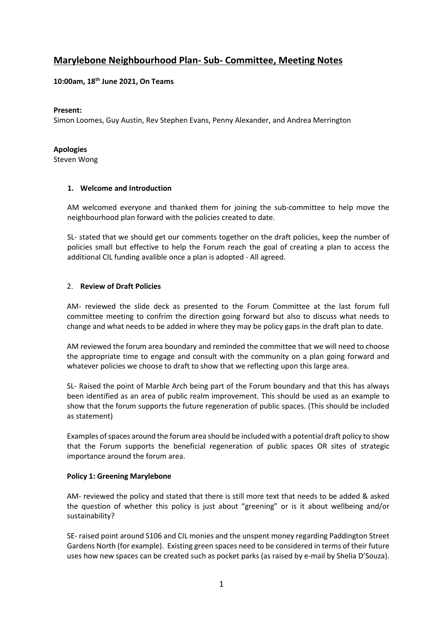# **Marylebone Neighbourhood Plan- Sub- Committee, Meeting Notes**

# **10:00am, 18th June 2021, On Teams**

### **Present:**

Simon Loomes, Guy Austin, Rev Stephen Evans, Penny Alexander, and Andrea Merrington

### **Apologies**

Steven Wong

### **1. Welcome and Introduction**

AM welcomed everyone and thanked them for joining the sub-committee to help move the neighbourhood plan forward with the policies created to date.

SL- stated that we should get our comments together on the draft policies, keep the number of policies small but effective to help the Forum reach the goal of creating a plan to access the additional CIL funding avalible once a plan is adopted - All agreed.

# 2. **Review of Draft Policies**

AM- reviewed the slide deck as presented to the Forum Committee at the last forum full committee meeting to confrim the direction going forward but also to discuss what needs to change and what needs to be added in where they may be policy gaps in the draft plan to date.

AM reviewed the forum area boundary and reminded the committee that we will need to choose the appropriate time to engage and consult with the community on a plan going forward and whatever policies we choose to draft to show that we reflecting upon this large area.

SL- Raised the point of Marble Arch being part of the Forum boundary and that this has always been identified as an area of public realm improvement. This should be used as an example to show that the forum supports the future regeneration of public spaces. (This should be included as statement)

Examples of spaces around the forum area should be included with a potential draft policy to show that the Forum supports the beneficial regeneration of public spaces OR sites of strategic importance around the forum area.

### **Policy 1: Greening Marylebone**

AM- reviewed the policy and stated that there is still more text that needs to be added & asked the question of whether this policy is just about "greening" or is it about wellbeing and/or sustainability?

SE- raised point around S106 and CIL monies and the unspent money regarding Paddington Street Gardens North (for example). Existing green spaces need to be considered in terms of their future uses how new spaces can be created such as pocket parks (as raised by e-mail by Shelia D'Souza).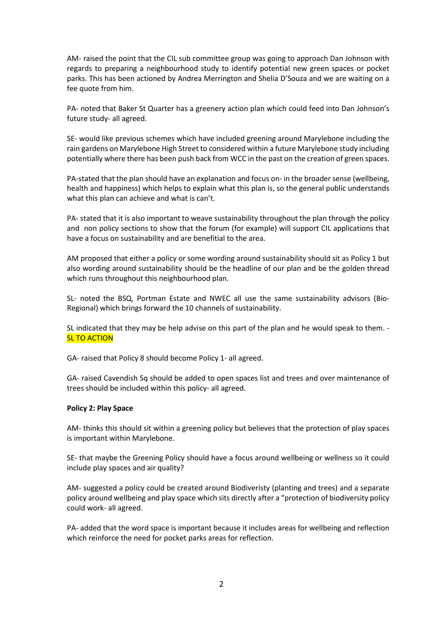AM- raised the point that the CIL sub committee group was going to approach Dan Johnson with regards to preparing a neighbourhood study to identify potential new green spaces or pocket parks. This has been actioned by Andrea Merrington and Shelia D'Souza and we are waiting on a fee quote from him.

PA- noted that Baker St Quarter has a greenery action plan which could feed into Dan Johnson's future study- all agreed.

SE- would like previous schemes which have included greening around Marylebone including the rain gardens on Marylebone High Street to considered within a future Marylebone study including potentially where there has been push back from WCC in the past on the creation of green spaces.

PA-stated that the plan should have an explanation and focus on- in the broader sense (wellbeing, health and happiness) which helps to explain what this plan is, so the general public understands what this plan can achieve and what is can't.

PA- stated that it is also important to weave sustainability throughout the plan through the policy and non policy sections to show that the forum (for example) will support CIL applications that have a focus on sustainability and are benefitial to the area.

AM proposed that either a policy or some wording around sustainability should sit as Policy 1 but also wording around sustainability should be the headline of our plan and be the golden thread which runs throughout this neighbourhood plan.

SL- noted the BSQ, Portman Estate and NWEC all use the same sustainability advisors (Bio-Regional) which brings forward the 10 channels of sustainability.

SL indicated that they may be help advise on this part of the plan and he would speak to them. - SL TO ACTION

GA- raised that Policy 8 should become Policy 1- all agreed.

GA- raised Cavendish Sq should be added to open spaces list and trees and over maintenance of trees should be included within this policy- all agreed.

### **Policy 2: Play Space**

AM- thinks this should sit within a greening policy but believes that the protection of play spaces is important within Marylebone.

SE- that maybe the Greening Policy should have a focus around wellbeing or wellness so it could include play spaces and air quality?

AM- suggested a policy could be created around Biodiveristy (planting and trees) and a separate policy around wellbeing and play space which sits directly after a "protection of biodiversity policy could work- all agreed.

PA- added that the word space is important because it includes areas for wellbeing and reflection which reinforce the need for pocket parks areas for reflection.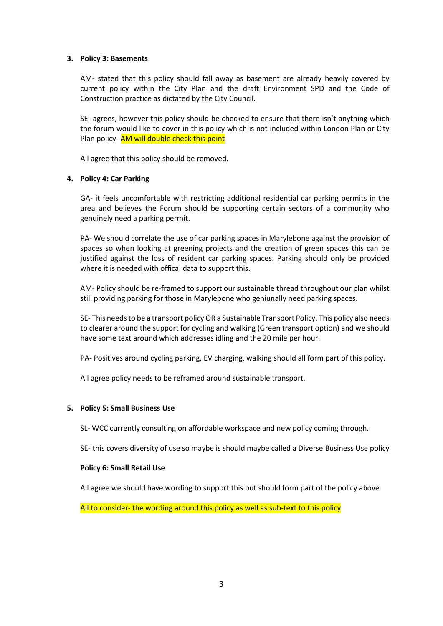#### **3. Policy 3: Basements**

AM- stated that this policy should fall away as basement are already heavily covered by current policy within the City Plan and the draft Environment SPD and the Code of Construction practice as dictated by the City Council.

SE- agrees, however this policy should be checked to ensure that there isn't anything which the forum would like to cover in this policy which is not included within London Plan or City Plan policy- AM will double check this point

All agree that this policy should be removed.

#### **4. Policy 4: Car Parking**

GA- it feels uncomfortable with restricting additional residential car parking permits in the area and believes the Forum should be supporting certain sectors of a community who genuinely need a parking permit.

PA- We should correlate the use of car parking spaces in Marylebone against the provision of spaces so when looking at greening projects and the creation of green spaces this can be justified against the loss of resident car parking spaces. Parking should only be provided where it is needed with offical data to support this.

AM- Policy should be re-framed to support our sustainable thread throughout our plan whilst still providing parking for those in Marylebone who geniunally need parking spaces.

SE- This needs to be a transport policy OR a Sustainable Transport Policy. This policy also needs to clearer around the support for cycling and walking (Green transport option) and we should have some text around which addresses idling and the 20 mile per hour.

PA- Positives around cycling parking, EV charging, walking should all form part of this policy.

All agree policy needs to be reframed around sustainable transport.

### **5. Policy 5: Small Business Use**

SL- WCC currently consulting on affordable workspace and new policy coming through.

SE- this covers diversity of use so maybe is should maybe called a Diverse Business Use policy

#### **Policy 6: Small Retail Use**

All agree we should have wording to support this but should form part of the policy above

All to consider- the wording around this policy as well as sub-text to this policy